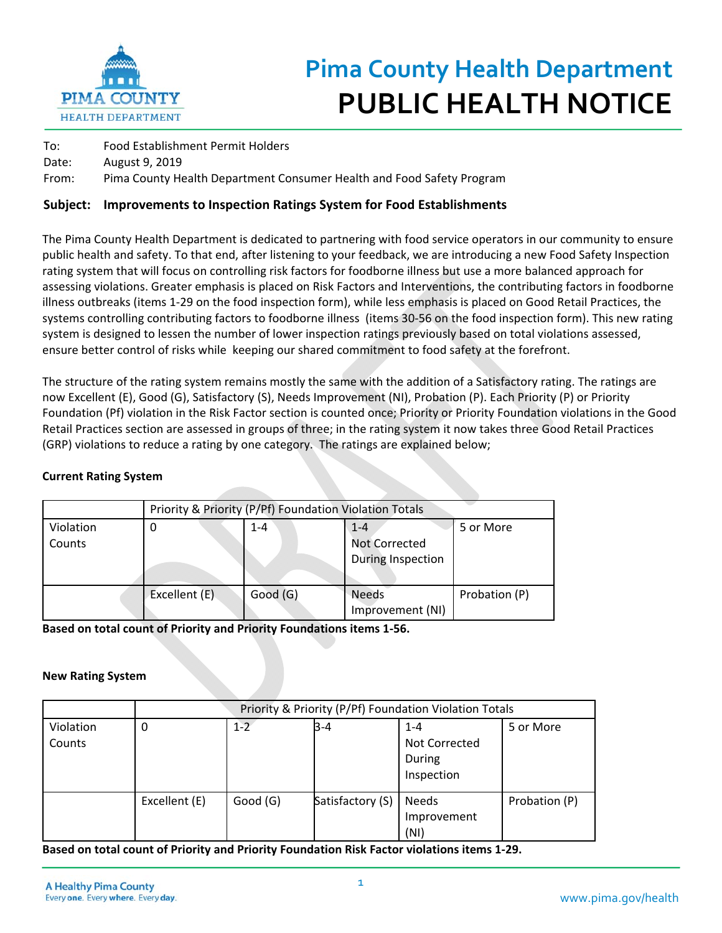

## **Pima County Health Department PUBLIC HEALTH NOTICE**

| To:   | Food Establishment Permit Holders                                     |
|-------|-----------------------------------------------------------------------|
| Date: | August 9, 2019                                                        |
| From: | Pima County Health Department Consumer Health and Food Safety Program |

## **Subject: Improvements to Inspection Ratings System for Food Establishments**

The Pima County Health Department is dedicated to partnering with food service operators in our community to ensure public health and safety. To that end, after listening to your feedback, we are introducing a new Food Safety Inspection rating system that will focus on controlling risk factors for foodborne illness but use a more balanced approach for assessing violations. Greater emphasis is placed on Risk Factors and Interventions, the contributing factors in foodborne illness outbreaks (items 1‐29 on the food inspection form), while less emphasis is placed on Good Retail Practices, the systems controlling contributing factors to foodborne illness (items 30‐56 on the food inspection form). This new rating system is designed to lessen the number of lower inspection ratings previously based on total violations assessed, ensure better control of risks while keeping our shared commitment to food safety at the forefront.

The structure of the rating system remains mostly the same with the addition of a Satisfactory rating. The ratings are now Excellent (E), Good (G), Satisfactory (S), Needs Improvement (NI), Probation (P). Each Priority (P) or Priority Foundation (Pf) violation in the Risk Factor section is counted once; Priority or Priority Foundation violations in the Good Retail Practices section are assessed in groups of three; in the rating system it now takes three Good Retail Practices (GRP) violations to reduce a rating by one category. The ratings are explained below;

## **Current Rating System**

|                     | Priority & Priority (P/Pf) Foundation Violation Totals |          |                                                      |               |  |  |  |
|---------------------|--------------------------------------------------------|----------|------------------------------------------------------|---------------|--|--|--|
| Violation<br>Counts | 0                                                      | $1 - 4$  | $1 - 4$<br><b>Not Corrected</b><br>During Inspection | 5 or More     |  |  |  |
|                     | Excellent (E)                                          | Good (G) | <b>Needs</b><br>Improvement (NI)                     | Probation (P) |  |  |  |

**Based on total count of Priority and Priority Foundations items 1‐56.** 

## **New Rating System**

|                     | Priority & Priority (P/Pf) Foundation Violation Totals |         |                  |                                                  |               |  |
|---------------------|--------------------------------------------------------|---------|------------------|--------------------------------------------------|---------------|--|
| Violation<br>Counts | 0                                                      | $1 - 2$ | $B - 4$          | $1 - 4$<br>Not Corrected<br>During<br>Inspection | 5 or More     |  |
|                     | Excellent (E)                                          | Good(G) | Satisfactory (S) | Needs<br>Improvement<br>(NI)                     | Probation (P) |  |

**Based on total count of Priority and Priority Foundation Risk Factor violations items 1‐29.**